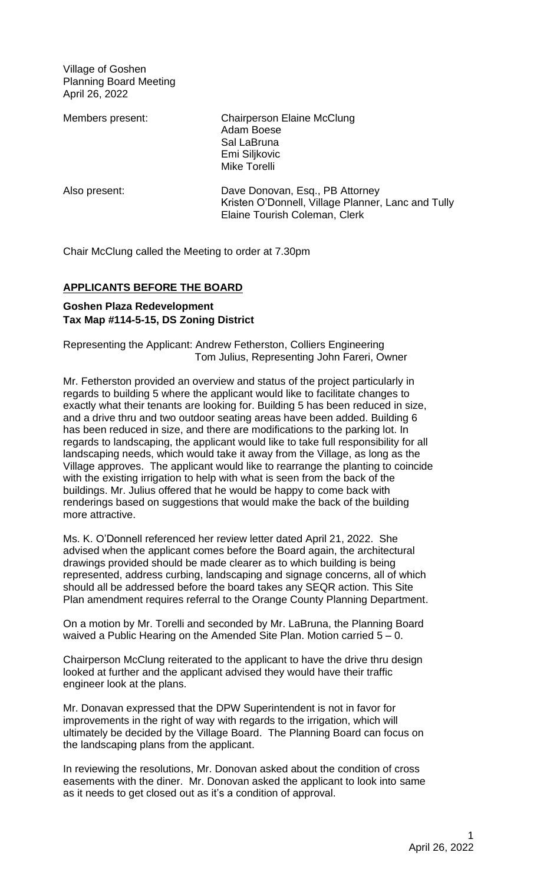Village of Goshen Planning Board Meeting April 26, 2022

Members present: Chairperson Elaine McClung Adam Boese Sal LaBruna Emi Siljkovic Mike Torelli

Also present: Dave Donovan, Esq., PB Attorney Kristen O'Donnell, Village Planner, Lanc and Tully Elaine Tourish Coleman, Clerk

Chair McClung called the Meeting to order at 7.30pm

# **APPLICANTS BEFORE THE BOARD**

# **Goshen Plaza Redevelopment Tax Map #114-5-15, DS Zoning District**

Representing the Applicant: Andrew Fetherston, Colliers Engineering Tom Julius, Representing John Fareri, Owner

Mr. Fetherston provided an overview and status of the project particularly in regards to building 5 where the applicant would like to facilitate changes to exactly what their tenants are looking for. Building 5 has been reduced in size, and a drive thru and two outdoor seating areas have been added. Building 6 has been reduced in size, and there are modifications to the parking lot. In regards to landscaping, the applicant would like to take full responsibility for all landscaping needs, which would take it away from the Village, as long as the Village approves. The applicant would like to rearrange the planting to coincide with the existing irrigation to help with what is seen from the back of the buildings. Mr. Julius offered that he would be happy to come back with renderings based on suggestions that would make the back of the building more attractive.

Ms. K. O'Donnell referenced her review letter dated April 21, 2022. She advised when the applicant comes before the Board again, the architectural drawings provided should be made clearer as to which building is being represented, address curbing, landscaping and signage concerns, all of which should all be addressed before the board takes any SEQR action. This Site Plan amendment requires referral to the Orange County Planning Department.

On a motion by Mr. Torelli and seconded by Mr. LaBruna, the Planning Board waived a Public Hearing on the Amended Site Plan. Motion carried  $5 - 0$ .

Chairperson McClung reiterated to the applicant to have the drive thru design looked at further and the applicant advised they would have their traffic engineer look at the plans.

Mr. Donavan expressed that the DPW Superintendent is not in favor for improvements in the right of way with regards to the irrigation, which will ultimately be decided by the Village Board. The Planning Board can focus on the landscaping plans from the applicant.

In reviewing the resolutions, Mr. Donovan asked about the condition of cross easements with the diner. Mr. Donovan asked the applicant to look into same as it needs to get closed out as it's a condition of approval.